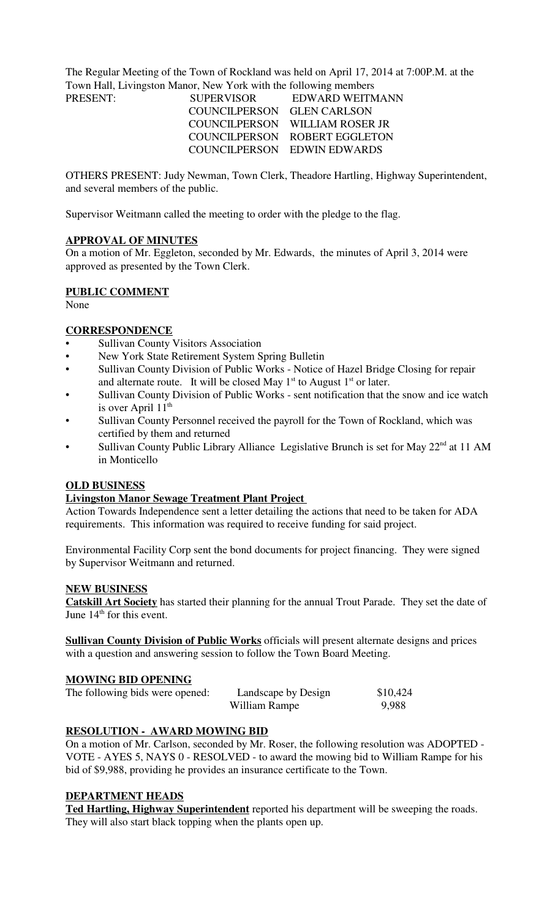The Regular Meeting of the Town of Rockland was held on April 17, 2014 at 7:00P.M. at the Town Hall, Livingston Manor, New York with the following members

| <b>SUPERVISOR</b>          | EDWARD WEITMANN                |
|----------------------------|--------------------------------|
| COUNCILPERSON GLEN CARLSON |                                |
|                            | COUNCILPERSON WILLIAM ROSER JR |
|                            | COUNCILPERSON ROBERT EGGLETON  |
|                            | COUNCILPERSON EDWIN EDWARDS    |
|                            |                                |

OTHERS PRESENT: Judy Newman, Town Clerk, Theadore Hartling, Highway Superintendent, and several members of the public.

Supervisor Weitmann called the meeting to order with the pledge to the flag.

## **APPROVAL OF MINUTES**

On a motion of Mr. Eggleton, seconded by Mr. Edwards, the minutes of April 3, 2014 were approved as presented by the Town Clerk.

### **PUBLIC COMMENT**

None

## **CORRESPONDENCE**

- Sullivan County Visitors Association
- New York State Retirement System Spring Bulletin
- Sullivan County Division of Public Works Notice of Hazel Bridge Closing for repair and alternate route. It will be closed May  $1<sup>st</sup>$  to August  $1<sup>st</sup>$  or later.
- Sullivan County Division of Public Works sent notification that the snow and ice watch is over April  $11<sup>th</sup>$
- Sullivan County Personnel received the payroll for the Town of Rockland, which was certified by them and returned
- Sullivan County Public Library Alliance Legislative Brunch is set for May  $22<sup>nd</sup>$  at 11 AM in Monticello

#### **OLD BUSINESS**

#### **Livingston Manor Sewage Treatment Plant Project**

Action Towards Independence sent a letter detailing the actions that need to be taken for ADA requirements. This information was required to receive funding for said project.

Environmental Facility Corp sent the bond documents for project financing. They were signed by Supervisor Weitmann and returned.

### **NEW BUSINESS**

**Catskill Art Society** has started their planning for the annual Trout Parade. They set the date of June  $14<sup>th</sup>$  for this event.

**Sullivan County Division of Public Works** officials will present alternate designs and prices with a question and answering session to follow the Town Board Meeting.

### **MOWING BID OPENING**

| The following bids were opened: | Landscape by Design | \$10,424 |
|---------------------------------|---------------------|----------|
|                                 | William Rampe       | 9,988    |

## **RESOLUTION - AWARD MOWING BID**

On a motion of Mr. Carlson, seconded by Mr. Roser, the following resolution was ADOPTED - VOTE - AYES 5, NAYS 0 - RESOLVED - to award the mowing bid to William Rampe for his bid of \$9,988, providing he provides an insurance certificate to the Town.

#### **DEPARTMENT HEADS**

**Ted Hartling, Highway Superintendent** reported his department will be sweeping the roads. They will also start black topping when the plants open up.